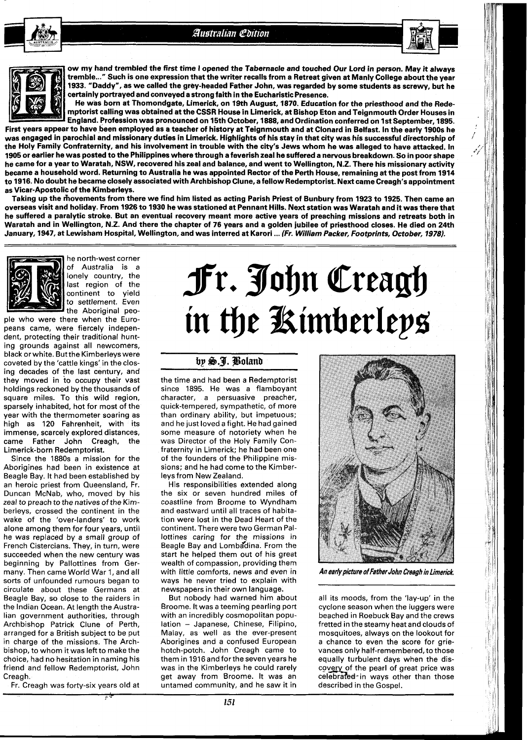Australian Edition





ow my hand trembled the first time I opened the Tabernacle and touched Our Lord in person. May it always tremble..." Such is one expression that the writer recalls from a Retreat given at Manly College about the year 1933. "Daddy", as we called the grey-headed Father John, was regarded by some students as screwy, but he certainly portrayed and conveyed a strong faith in the Eucharistic Presence.

He was born at Thomondgate, Limerick, on 19th August, 1870. Education for the priesthood and the Redemptorist calling was obtained at the CSSR House in Limerick, at Bishop Eton and Teignmouth Order Houses in England. Profession was pronounced on 15th October, 1888, and Ordination conferred on 1st September, 1895. First years appear to have been employed as a teacher of history at Teignmouth and at Clonard in Belfast. In the early 1900s he was engaged in parochial and missionary duties in Limerick. Highlights of his stay in that city was his successfut directorship of the Holy Family Confraternity, and his involvement in trouble with the city's Jews whom he was alleged to have attacked. In 1905 or earlier he was posted to the Philippines where through a feverish zeal he suffered a nervous breakdown. So in poor shape he came for a year to Waratah, NSW, recovered his zeal and balance, and went to Wellington, N.Z. There his missionary activity became a household word. Returning to Australia he was appointed Rector of the Perth House, remaining at the post from 1914 to 1916. No doubt he became closely associated with Archbishop Clune, a fellow Redemptorist. Next came Creagh's appointment as Vicar-Apostolic of the Kimberleys.

Taking up the movements from there we find him listed as acting Parish Priest of Bunbury from 1923 to 1925. Then came an overseas visit and holiday. From 1926 to 1930 he was stationed at Pennant Hills. Next station was Waratah and it was there that he suffered a paralytic stroke. But an eventual recovery meant more active years of preaching missions and retreats both in Waratah and in Wellington, N.Z. And there the chapter of 76 years and a golden jubilee of priesthood closes. He died on 24th January, 1947, at Lewisham Hospital, Wellington, and was interred at Karori ... (Fr. William Packer, Footprints, October, 1978).



he north-west corner of Australia is a lonely country, the last region of the continent to yield to settlement. Even the Aboriginal peo-

ple who were there when the Europeans came, were fiercely independent, protecting their traditional hunting grounds against all newcomers, black orwhite. Butthe Kimberleys were coveted by the 'cattle kings' in the closing decades of the last century, and they moved in to occupy their vast holdings reckoned by the thousands of square miles. To this wild region, sparsely inhabited, hot for most of the year with the thermometer soaring as high as 120 Fahrenheit, with its immense, scarcely explored distances, came Father John Creagh, the Limerick-born Redemptorist.

Since the 1880s a mission for the Aborigines had been in existence at Beagle Bay. It had been established by an heroic priest from Queensland, Fr. Duncan McNab, who, moved by his zeal to preach to the natives of the Kimberleys, crossed the continent in the wake of the 'over-landers' to work alone among them for four years, until he was replaced by a small group of French Cistercians. They, in turn, were succeeded when the new century was beginning by Pallottines from Germany. Then came World War 1, and all sorts of unfounded rumours began to circulate about these Germans at Beagle Bay, so close to the raiders in the Indian Ocean. At length the Australian government authorities, through Archbishop Patrick Clune of Perth, arranged for a British subject to be put in charge of the missions. The Archbishop, to whom it was left to make the choice, had no hesitation in naming his friend and fellow Redemptorist, John Creagh.

Fr. Creagh was forty-six years old at

## Fr. John Creagh in the Kimberleps

## by S.J. Boland

the time and had been a Redemptorist since 1895. He was a flamboyant character, a persuasive preacher, quick-tempered, sympathetic, of more than ordinary ability, but impetuous; and he just loved a fight. He had gained some measure of notoriety when he was Director of the Holy Family Confraternity in Limerick; he had been one of the founders of the Philippine missions; and he had come to the Kimberleys from New Zealand.

His responsibilities extended along the six or seven hundred miles of coastline from Broome to Wyndham and eastward until all traces of habitation were lost in the Dead Heart of the continent. There were two German Pallottines caring for the missions in Beagle Bay and Lombadina. From the start he helped them out of his great wealth of compassion, providing them with little comforts, news and even in ways he never tried to explain with newspapers in their own language.

But nobody had warned him about Broome. It was a teeming pearling port with an incredibly cosmopolitan population - Japanese, Chinese, Filipino, Malay, as well as the ever-present Aborigines and a confused European hotch-potch. John Creagh came to them in 1916 and for the seven years he was in the Kimberleys he could rarely get away from Broome. It was an untamed community, and he saw it in



**An early picture of Father John Creagh in limerick,** 

all its moods, from the 'lay-up' in the cyclone season when the luggers were beached in Roebuck Bay and the crews fretted in the steamy heat and clouds of mosquitoes, always on the lookout for a chance to even the score for grievances only half-remembered, to those equally turbulent days when the discovery of the pearl of great price was  $c$ elebrated-in ways other than those described in the Gospel.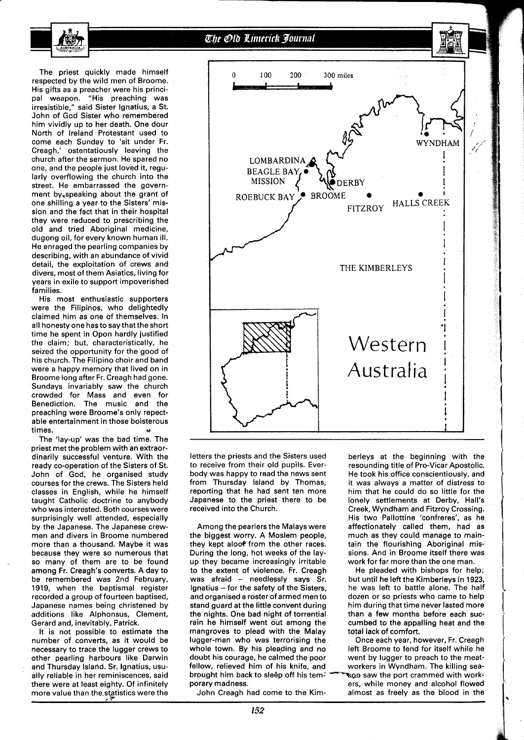The Old Limerick Journal

The priest quickly made himself respected by the wild men of Broome. His gifts as a preacher were his principal weapon. "His preaching was irresistible," said Sister Ignatius, a St. John of God Sister who remembered him vividly up to her death. One dour North of Ireland Protestant used to come each Sunday to 'sit under Fr. Creagh,' ostentatiously leaving the church after the sermon. He spared no one, and the people just loved it, regularly overflowing the church into the street. He embarrassed the government by-speaking about the grant of one Shilling a year to the Sisters' mission and the fact that in their hospital they were reduced to prescribing the old and tried Aboriginal medicine, dugong oil, for every known human ill. He enraged the pearling companies by describing, with an abundance of vivid detail, the exploitation of crews and divers, most of them Asiatics, living for years in exile to support impoverished families.

His most enthusiastic supporters were the Filipinos, who delightedly claimed him as one of themselves. In all honesty one has to say that the short time he spent in Opon hardly justified the claim; but, characteristically, he seized the opportunity for the good of his church. The Filipino choir and band were a happy memory that lived on in Broome long after Fr. Creagh had gone. Sundays invariably saw the church crowded for Mass and even for Benediction. The music and the preaching were Broome's only repectable entertainment in those boisterous times.

The 'lay-up' was the bad time. The priest met the problem with an extraordinarily successful venture. With the ready co-operation of the Sisters of St. John of God, he organised study courses for the crews. The Sisters held classes in English, while he himself taught Catholic doctrine to anybody who was interested. Both courses were surprisingly well attended, especially by the Japanese. The Japanese crewmen and divers in Broome numbered more than a thousand. Maybe it was because they were so numerous that so many of them are to be found among Fr. Creagh's converts. A day to be remembered was 2nd February, 1919, when the baptismal register recorded a group of fourteen baptised, Japanese names being christened by additions like Alphonsus, Clement, Gerard and, inevitably, Patrick.

It is not possible to estimate the number of converts, as it would be necessary to trace the lugger crews to other pearling harbours like Darwin and Thursday Island. Sr. Ignatius, usually reliable in her reminiscences, said there were at least eighty. Of infinitely more value than the statistics were the



letters the priests and the Sisters used to receive from their old pupils. Everbody was happy to read the news sent from Thursday Island by Thomas, reporting that he had sent ten more Japanese to the priest there to be received into the Church.

Among the pearlers the Malayswere the biggest worry. A Moslem people, they kept aloof from the other races. During the long, hot weeks of the layup they became increasingly irritable to the extent of violence. Fr. Creagh was afraid  $-$  needlessly says Sr.  $landius - for the safety of the Sisters,$ and organised a roster **of** armed men to stand guard at the little convent during the nights. One bad night of torrential rain he himself went out among the mangroves to plead with the Malay lugger-man who was terrorising the whole town. By his pleading and no doubt his courage, he calmed the poor fellow, relieved him of his knife, and brought him back to sleep off his temporary madness.

John Creagh had come to the Kim-

berleys at the beginning with the resounding title of Pro-Vicar Apostolic. He took his office conscientiously, and it was always a matter of distress to him that he could do so little for the lonely settlements at Derby, Hall's Creek, Wyndham and Fitzroy Crossing. His two Pallottine 'confreres', as he affectionately called them, had as much as they could manage to maintain the flourishing Aboriginal missions. And in Broome itself there was work for far more than the one man.

He pleaded with bishops for help; but until he left the Kimberleys in 1923, he was left to battle alone. The half dozen or so priests who came to help him during that time never lasted more than a few months before each succumbed to the appalling heat and the total lack of comfort.

Once each year, however, Fr. Creagh left Broome to fend for itself while he went by lugger to preach to the meatworkers in Wyndham. The killing sea-**YQD** saw the port crammed with workers, while money and alcohol flowed almost as freely as the blood in the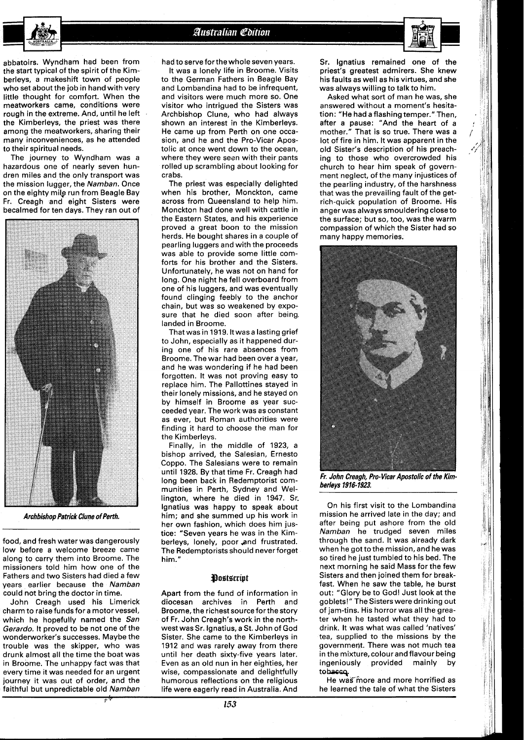

## **Australian Coition**



abbatoirs. Wyndham had been from the start typical of the spirit of the Kimberleys, a makeshift town of people who set about the job in hand with very little thought for comfort. When the meatworkers came, conditions were rough in the extreme. And, until he left the Kimberleys, the priest was there among the meatworkers, sharing their many inconveniences, as he attended to their spiritual needs.

The journey to Wyndham was a hazardous one of nearly seven hundren miles and the only transport was the mission lugger, the **Namban.** Once on the eighty milg run from Beagle Bay Fr. Creagh and eight Sisters were becalmed for ten days. They ran out of



**Archbishop Patrick Clune of Perth.** 

food, and fresh water was dangerously low before a welcome breeze came along to carry them into Broome. The missioners told him how one of the Fathers and two Sisters had died a few years earlier because the **Namban**  could not bring the doctor in time.

John Creagh used his Limerick charm to raise funds for a motor vessel, which he hopefully named the **San Gerardo.** It proved to be not one of the wonderworker's successes. Maybe the trouble was the skipper, who was drunk almost all the time the boat was in Broome. The unhappy fact was that every time it was needed for an urgent journey it was out of order, and the faithful but unpredictable old **Namban** 

had to serve forthe whole seven years. It was a lonely life in Broome. Visits to the German Fathers in Beagle Bay and Lombandina had to be infrequent, and visitors were much more so. One visitor who intrigued the Sisters was Archbishop Clune, who had always shown an interest in the Kimberleys. He came up from Perth on one occasion, and he and the Pro-Vicar Apostolic at once went down to the ocean, where they were sean with their pants rolled up scrambling about looking for crabs.

The priest was especially delighted when his brother, Monckton, came across from Queensland to help him. Monckton had done well with cattle in the Eastern States, and his experience proved a great boon to the mission herds. He bought shares in a couple of pearling luggers and with the proceeds was able to provide some little comforts for his brother and the Sisters. Unfortunately, he was not on hand for long. One night he fell overboard from one of his luggers, and was eventually found clinging feebly to the anchor chain, but was so weakened by exposure that he died soon after being. landed in Broome.

That was in 1919. It was a lasting grief to John, especially as it happened during one of his rare absences from Broome. The war had been over a year, and he was wondering if he had been forgotten. It was not proving easy to replace him. The Pallottines stayed in their lonely missions, and he stayed on by himself in Broome as year succeeded year. The work was as constant as ever, but Roman authorities were finding it hard to choose the man for the Kimberleys.

Finally, in the middle of 1923, a bishop arrived, the Salesian, Ernesto Coppo. The Salesians were to remain until 1928. By that time Fr. Creagh had long been back in Redemptorist communities in Perth, Sydney and Wellington, where he died in 1947. Sr. lgnatius was happy to speak about him; and she summed up his work in her own fashion, which does him justice: "Seven years he was in the Kimberleys, lonely, poor and frustrated. The Redemptorists should never forget him."

## **O**ostscript

Apart from the fund of information in diocesan archives in Perth and Broome, the richest source forthe story of Fr. John Creagh's work in the northwest was Sr. Ignatius, a St. John of God Sister. She came to the Kimberleys in 1912 and was rarely away from there until her death sixty-five years later. Even as an old nun in her eighties, her wise, compassionate and delightfully humorous reflections on the religious life were eagerly read in Australia. And

Sr. lgnatius remained one of the priest's greatest admirers. She knew his faults as well as his virtues, and she was always willing to talk to him.

Asked what sort of man he was, she answered without a moment's hesitation: "He had a flashing temper." Then, after a pause: "And the heart of a mother." That is so true. There was a lot of fire in him. It was apparent in the old Sister's description of his preaching to those who overcrowded his church to hear him speak of government neglect, of the many injustices of the pearling industry, of the harshness that was the prevailing fault of the getrich-quick population of Broome. His anger was always smouldering close to the surface; but so, too, was the warm compassion of which the Sister had so many happy memories.



**Fr. John Creagh, Pro-Vicar Apostolic of the** Kim**berley~ 1916-1923.** 

On his first visit to the Lombandina mission he arrived late in the day; and after being put ashore from the old **Namban** he trudged seven miles through the sand. It was already dark when he got to the mission, and he was so tired he just tumbled to his bed. The next morning he said Mass for the few Sisters and then joined them for breakfast. When he saw the table, he burst out: "Glory be to God! Just look at the goblets!" The Sisters were drinking out of jam-tins. His horror was all the greater when he tasted what they had to drink. It was what was called 'natives' tea, supplied to the missions by the government. There was not much tea in the mixture, colour and flavour being ingeniously provided mainly by tobacco

He was more and more horrified as he learned the tale of what the Sisters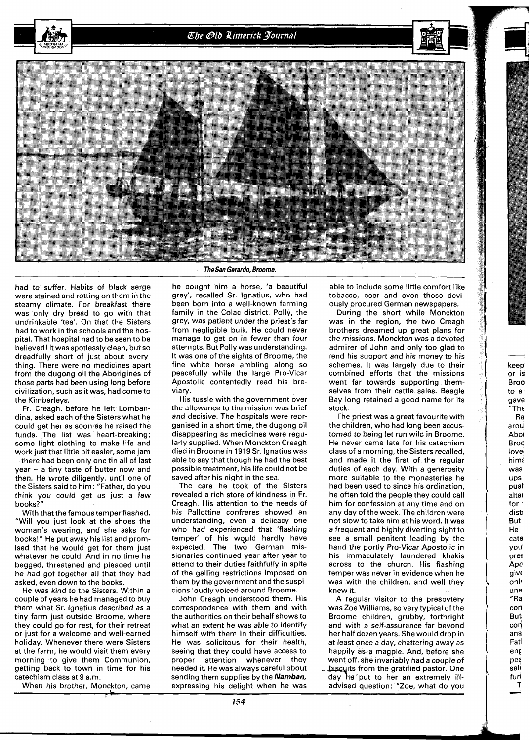The Old Limerick Journal



had to suffer. Habits of black serge were stained and rotting on them in the steamy climate. For breakfast there was only dry bread to go with that undrinkable 'tea'. On that the Sisters had to work in the schools and the hospital. That hospital had to be seen to be believed! It was spotlessly clean, but so dreadfully short of just about everything. There were no medicines apart from the dugong oil the Aborigines of those parts had been using long before civilization, such as it was, had come to the Kimberleys.

Fr. Creagh, before he left Lombandina, asked each of the Sisters what he could get her as soon as he raised the funds. The list was heart-breaking; some light clothing to make life and work just that little bit easier, some jam - there had been only one tin all of last  $year - a tiny taste of butter now and$ then. He wrote diligently, until one of the Sisters said to him: "Father, do you think you could get us just a few books?"

With that the famous temperflashed. "Will you just look at the shoes the woman's wearing, and she asks for books!" He put away his list and promised that he would get for them just whatever he could. And in no time he begged, threatened and pleaded until he had got together all that they had asked, even down to the books.

He was kind to the Sisters. Within a couple of years he had managed to buy them what Sr. lgnatius described as a tiny farm just outside Broome, where they could go for rest, for their retreat or just for a welcome and well-earned holiday. Whenever there were Sisters at the farm, he would visit them every morning to give them Communion, getting back to town in time for his catechism class at 9 a.m.

When his brother, Monckton, came

**The San Gerardo, Broome.** 

he bought him a horse, 'a beautiful grey', recalled Sr. Ignatius, who had been born into a well-known farming family in the Colac district. Polly, the grey, was patient under the priest's far from negligible bulk. He could never manage to get on in fewer than four attempts. But Polly was understanding. It was one of the sights of Broome, the fine white horse ambling along so peacefully while the large Pro-Vicar Apostolic contentedly read his breviary.

His tussle with the government over the allowance to the mission was brief and decisive. The hospitals were reorganised in a short time, the dugong oil disappearing as medicines were regularly supplied. When Monckton Creagh died in Broome in 1919 Sr. lgnatiuswas able to say that though he had the best possible treatment, his life could not be saved after his night in the sea.

The care he took of the Sisters revealed a rich store of kindness in Fr. Creagh. His attention to the needs of his Pallottine confreres showed an understanding, even a delicacy one who had experienced that 'flashing temper' of his wopld hardly have expected. The two German missionaries continued year after year to attend to their duties faithfully in spite of the galling restrictions imposed on them by the government and the suspicions loudly voiced around Broome.

John Creagh understood them. His correspondence with them and with the authorities on their behalf shows to what an extent he was able to identify himself with them in their difficulties. He was solicitous for their health, seeing that they could have access to proper attention whenever they needed it. He was always careful about sending them supplies by the **Namban,**  expressing his delight when he was able to include some little comfort like tobacco, beer and even those deviously procured German newspapers.

@ l

-

keep or is Broo to a gave "The Ra arou Abol **Broc** love him! was ups pust altar for <sup>l</sup> disti But He l cate YOU pre: Apo give onh une "Ra con But con ans Fat eng pea sait furl **l P** 

During the short while Monckton was in the region, the two Creagh brothers dreamed up great plans for the missions. Monckton was a devoted admirer of John and only too glad to lend his support and his money to his schemes. It was largely due to their combined efforts that the missions went far towards supporting themselves from their cattle sales. Beagle Bay long retained a good name for its stock.

The priest was a great favourite with the children, who had long been accustomed to being let run wild in Broome. He never came late for his catechism class of a morning, the Sisters recalled, and made it the first of the regular duties of each day. With a generosity more suitable to the monasteries he had been used to since his ordination, he often told the people they could call him for confession at any time and on any day of the week. The children were not slow to take him at his word. It was a frequent and highly diverting sight to see a small penitent leading by the hand the portly Pro-Vicar Apostolic in his immaculately laundered khakis across to the church. His flashing temper was never in evidence when he was with the children, and well they knew it.

A regular visitor to the presbytery was Zoe Williams, so very typical of the Broome children, grubby, forthright and with a self-assurance far beyond her half dozen years. Shewould drop in at least once a day, chattering away as happily as a magpie. And, before she went off, she invariably had a couple of hiscuits from the gratified pastor. One<br>day he<sup>-</sup>put to her an extremely ill-<br>advised question: "Zoe, what do you